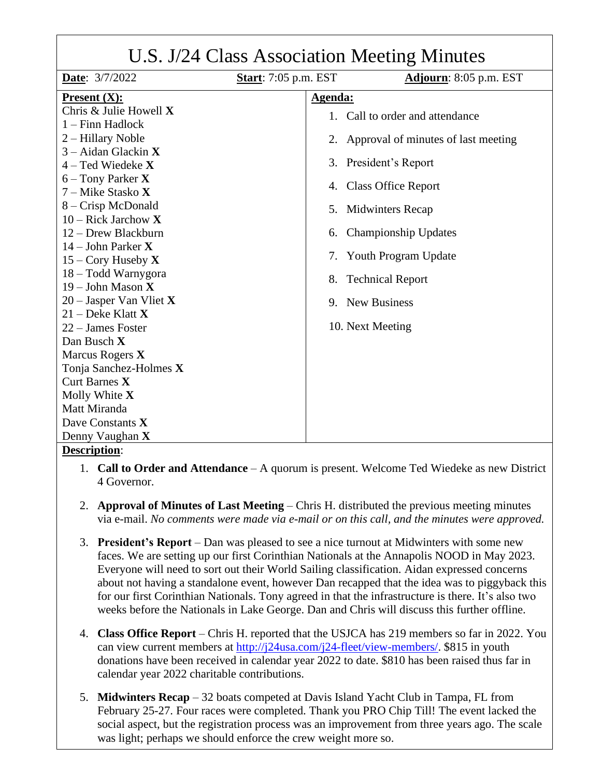| U.S. J/24 Class Association Meeting Minutes |                             |                                        |  |
|---------------------------------------------|-----------------------------|----------------------------------------|--|
| Date: 3/7/2022                              | <b>Start:</b> 7:05 p.m. EST | Adjourn: 8:05 p.m. EST                 |  |
| <b>Present <math>(X)</math>:</b>            |                             | Agenda:                                |  |
| Chris & Julie Howell X                      |                             | 1. Call to order and attendance        |  |
| $1 -$ Finn Hadlock                          |                             |                                        |  |
| 2 – Hillary Noble                           |                             | 2. Approval of minutes of last meeting |  |
| $3 -$ Aidan Glackin X                       |                             |                                        |  |
| $4 - Ted$ Wiedeke X                         |                             | 3. President's Report                  |  |
| $6$ – Tony Parker <b>X</b>                  |                             | 4. Class Office Report                 |  |
| 7 – Mike Stasko X                           |                             |                                        |  |
| 8 – Crisp McDonald                          | 5.                          | Midwinters Recap                       |  |
| $10$ – Rick Jarchow X                       |                             |                                        |  |
| 12 – Drew Blackburn                         | 6.                          | Championship Updates                   |  |
| 14 – John Parker $X$                        | 7.                          | Youth Program Update                   |  |
| 15 – Cory Huseby $X$                        |                             |                                        |  |
| 18 – Todd Warnygora                         | 8.                          | <b>Technical Report</b>                |  |
| 19 – John Mason $X$                         |                             |                                        |  |
| $20$ – Jasper Van Vliet X                   |                             | 9. New Business                        |  |
| $21$ – Deke Klatt X                         |                             |                                        |  |
| 22 - James Foster                           |                             | 10. Next Meeting                       |  |
| Dan Busch X                                 |                             |                                        |  |
| Marcus Rogers X                             |                             |                                        |  |
| Tonja Sanchez-Holmes X                      |                             |                                        |  |
| Curt Barnes X                               |                             |                                        |  |
| Molly White X                               |                             |                                        |  |
| Matt Miranda                                |                             |                                        |  |
| Dave Constants X                            |                             |                                        |  |
| Denny Vaughan X<br>Dogointian               |                             |                                        |  |

- **Description**:
	- 1. **Call to Order and Attendance** A quorum is present. Welcome Ted Wiedeke as new District 4 Governor.
	- 2. **Approval of Minutes of Last Meeting**  Chris H. distributed the previous meeting minutes via e-mail. *No comments were made via e-mail or on this call, and the minutes were approved.*
	- 3. **President's Report**  Dan was pleased to see a nice turnout at Midwinters with some new faces. We are setting up our first Corinthian Nationals at the Annapolis NOOD in May 2023. Everyone will need to sort out their World Sailing classification. Aidan expressed concerns about not having a standalone event, however Dan recapped that the idea was to piggyback this for our first Corinthian Nationals. Tony agreed in that the infrastructure is there. It's also two weeks before the Nationals in Lake George. Dan and Chris will discuss this further offline.
	- 4. **Class Office Report** Chris H. reported that the USJCA has 219 members so far in 2022. You can view current members at [http://j24usa.com/j24-fleet/view-members/.](http://j24usa.com/j24-fleet/view-members/) \$815 in youth donations have been received in calendar year 2022 to date. \$810 has been raised thus far in calendar year 2022 charitable contributions.
	- 5. **Midwinters Recap** 32 boats competed at Davis Island Yacht Club in Tampa, FL from February 25-27. Four races were completed. Thank you PRO Chip Till! The event lacked the social aspect, but the registration process was an improvement from three years ago. The scale was light; perhaps we should enforce the crew weight more so.